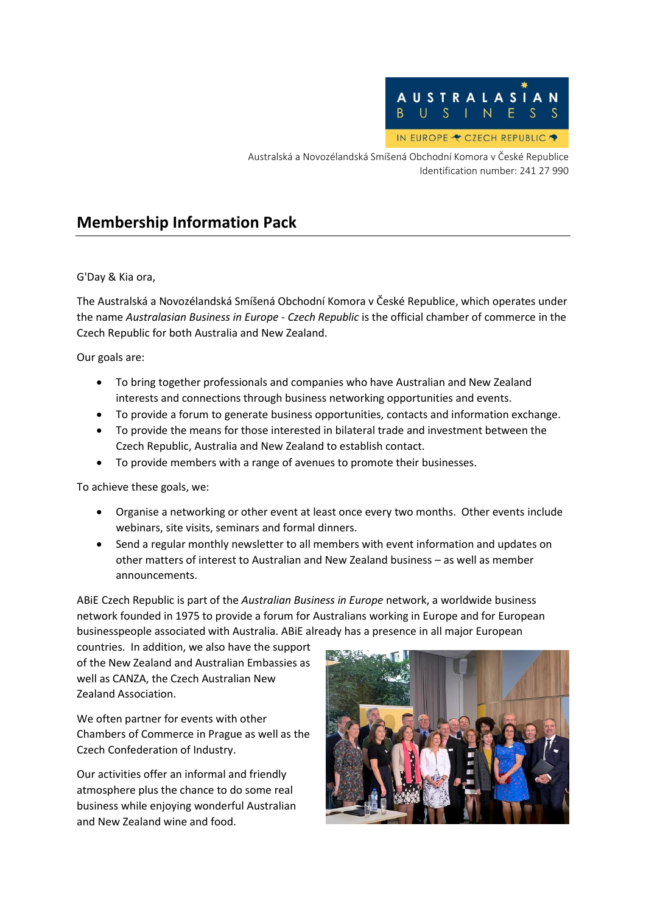

Australská a Novozélandská Smíšená Obchodní Komora v České Republice Identification number: 241 27 990

### **Membership Information Pack**

G'Day & Kia ora,

The Australská a Novozélandská Smíšená Obchodní Komora v České Republice, which operates under the name *Australasian Business in Europe - Czech Republic* is the official chamber of commerce in the Czech Republic for both Australia and New Zealand.

Our goals are:

- To bring together professionals and companies who have Australian and New Zealand interests and connections through business networking opportunities and events.
- To provide a forum to generate business opportunities, contacts and information exchange.
- To provide the means for those interested in bilateral trade and investment between the Czech Republic, Australia and New Zealand to establish contact.
- To provide members with a range of avenues to promote their businesses.

To achieve these goals, we:

- Organise a networking or other event at least once every two months. Other events include webinars, site visits, seminars and formal dinners.
- Send a regular monthly newsletter to all members with event information and updates on other matters of interest to Australian and New Zealand business – as well as member announcements.

ABiE Czech Republic is part of the *Australian Business in Europe* network, a worldwide business network founded in 1975 to provide a forum for Australians working in Europe and for European businesspeople associated with Australia. ABiE already has a presence in all major European

countries. In addition, we also have the support of the New Zealand and Australian Embassies as well as CANZA, the Czech Australian New Zealand Association.

We often partner for events with other Chambers of Commerce in Prague as well as the Czech Confederation of Industry.

Our activities offer an informal and friendly atmosphere plus the chance to do some real business while enjoying wonderful Australian and New Zealand wine and food.

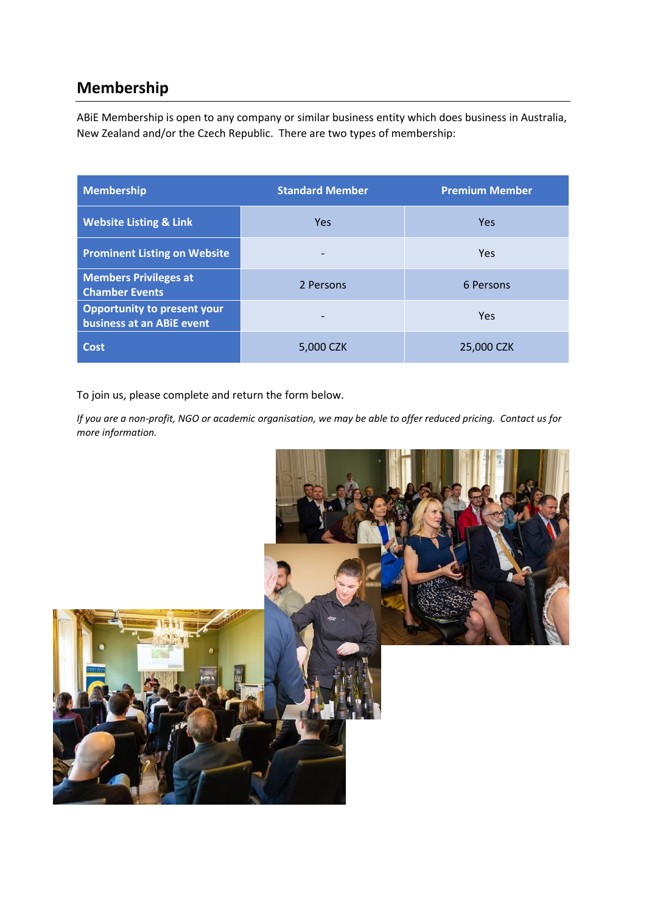# **Membership**

ABiE Membership is open to any company or similar business entity which does business in Australia, New Zealand and/or the Czech Republic. There are two types of membership:

| <b>Membership</b>                                               | <b>Standard Member</b> | <b>Premium Member</b> |
|-----------------------------------------------------------------|------------------------|-----------------------|
| <b>Website Listing &amp; Link</b>                               | <b>Yes</b>             | <b>Yes</b>            |
| <b>Prominent Listing on Website</b>                             |                        | <b>Yes</b>            |
| <b>Members Privileges at</b><br><b>Chamber Events</b>           | 2 Persons              | 6 Persons             |
| <b>Opportunity to present your</b><br>business at an ABiE event |                        | Yes                   |
| <b>Cost</b>                                                     | 5,000 CZK              | 25,000 CZK            |

To join us, please complete and return the form below.

*If you are a non-profit, NGO or academic organisation, we may be able to offer reduced pricing. Contact us for more information.*

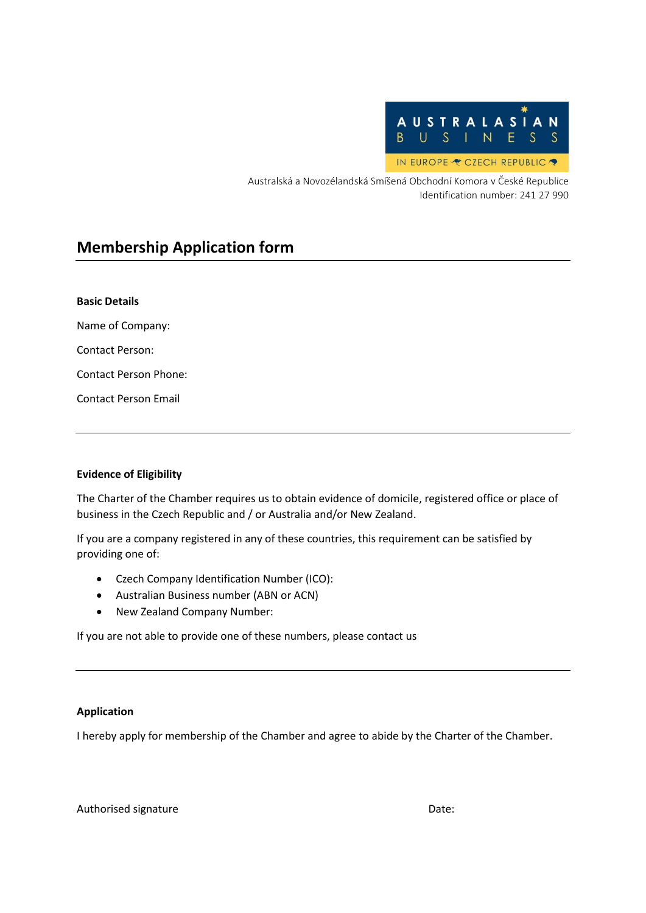

Australská a Novozélandská Smíšená Obchodní Komora v České Republice Identification number: 241 27 990

## **Membership Application form**

| <b>Basic Details</b>  |  |  |
|-----------------------|--|--|
| Name of Company:      |  |  |
| Contact Person:       |  |  |
| Contact Person Phone: |  |  |
| Contact Person Email  |  |  |
|                       |  |  |

### **Evidence of Eligibility**

The Charter of the Chamber requires us to obtain evidence of domicile, registered office or place of business in the Czech Republic and / or Australia and/or New Zealand.

If you are a company registered in any of these countries, this requirement can be satisfied by providing one of:

- Czech Company Identification Number (ICO):
- Australian Business number (ABN or ACN)
- New Zealand Company Number:

If you are not able to provide one of these numbers, please contact us

### **Application**

I hereby apply for membership of the Chamber and agree to abide by the Charter of the Chamber.